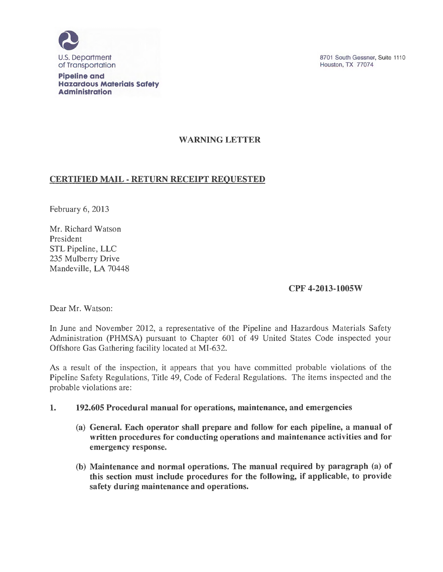

**Pipeline and Hazardous Materials Safety Administration** 

8701 South Gessner, Suite 1110 Houston, TX 77074

# WARNING LETTER

### CERTIFIED MAIL- RETURN RECEIPT REQUESTED

February 6, 2013

Mr. Richard Watson President STL Pipeline, LLC 235 Mulberry Drive Mandeville, LA 70448

## CPF 4-2013-1005W

Dear Mr. Watson:

In June and November 2012, a representative of the Pipeline and Hazardous Materials Safety Administration (PHMSA) pursuant to Chapter 601 of 49 United States Code inspected your Offshore Gas Gathering facility located at MI-632.

As a result of the inspection, it appears that you have committed probable violations of the Pipeline Safety Regulations, Title 49, Code of Federal Regulations. The items inspected and the probable violations are:

### 1. 192.605 Procedural manual for operations, maintenance, and emergencies

- (a) General. Each operator shall prepare and follow for each pipeline, a manual of written procedures for conducting operations and maintenance activities and for emergency response.
- (b) Maintenance and normal operations. The manual required by paragraph (a) of this section must include procedures for the following, if applicable, to provide safety during maintenance and operations.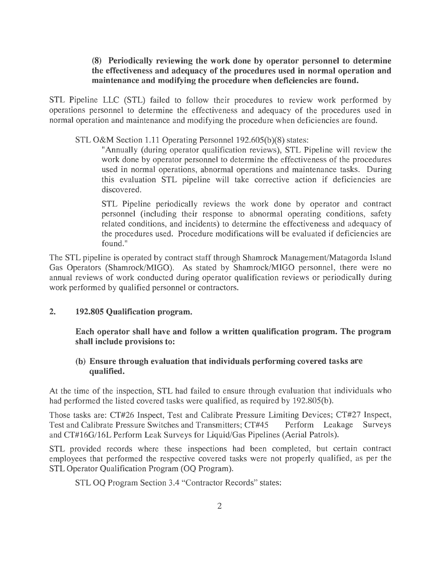#### **(8) Periodically reviewing the work done by operator personnel to determine the effectiveness and adequacy of the procedures used in normal operation and maintenance and modifying the procedure when deficiencies are found.**

STL Pipeline LLC (STL) failed to follow their procedures to review work performed by operations personnel to determine the effectiveness and adequacy of the procedures used in normal operation and maintenance and modifying the procedure when deficiencies are found.

STL O&M Section 1.11 Operating Personnel 192.605(b)(8) states:

"Annually (during operator qualification reviews), STL Pipeline will review the work done by operator personnel to determine the effectiveness of the procedures used in normal operations, abnormal operations and maintenance tasks. During this evaluation STL pipeline will take corrective action if deficiencies are discovered.

STL Pipeline periodically reviews the work done by operator and contract personnel (including their response to abnormal operating conditions, safety related conditions, and incidents) to determine the effectiveness and adequacy of the procedures used. Procedure modifications will be evaluated if deficiencies are found."

The STL pipeline is operated by contract staff through Shamrock Management/Matagorda Island Gas Operators (Shamrock/MIGO). As stated by Shamrock/MIGO personnel, there were no annual reviews of work conducted during operator qualification reviews or periodically during work performed by qualified personnel or contractors.

## **2. 192.805 Qualification program.**

**Each operator shall have and follow a written qualification program. The program shall include provisions to:** 

# **(b) Ensure through evaluation that individuals performing covered tasks are qualified.**

At the time of the inspection, STL had failed to ensure through evaluation that individuals who had performed the listed covered tasks were qualified, as required by 192.805(b).

Those tasks are: CT#26 Inspect, Test and Calibrate Pressure Limiting Devices; CT#27 Inspect, Test and Calibrate Pressure Switches and Transmitters; CT#45 Perform Leakage Surveys and CT#l6G/16L Perform Leak Surveys for Liquid/Gas Pipelines (Aerial Patrols).

STL provided records where these inspections had been completed, but certain contract employees that performed the respective covered tasks were not properly qualified, as per the STL Operator Qualification Program (OQ Program).

STL OQ Program Section 3.4 "Contractor Records" states: